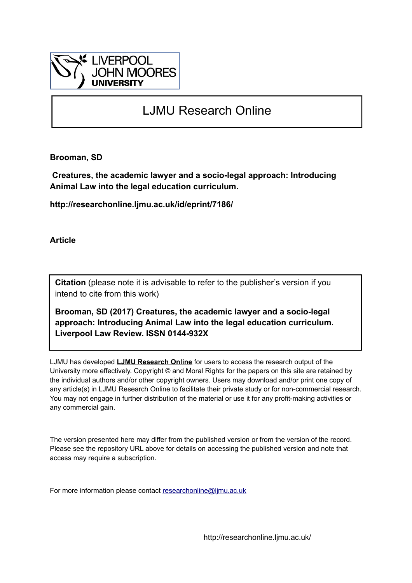

# LJMU Research Online

**Brooman, SD**

 **Creatures, the academic lawyer and a socio-legal approach: Introducing Animal Law into the legal education curriculum.**

**http://researchonline.ljmu.ac.uk/id/eprint/7186/**

**Article**

**Citation** (please note it is advisable to refer to the publisher's version if you intend to cite from this work)

**Brooman, SD (2017) Creatures, the academic lawyer and a socio-legal approach: Introducing Animal Law into the legal education curriculum. Liverpool Law Review. ISSN 0144-932X** 

LJMU has developed **[LJMU Research Online](http://researchonline.ljmu.ac.uk/)** for users to access the research output of the University more effectively. Copyright © and Moral Rights for the papers on this site are retained by the individual authors and/or other copyright owners. Users may download and/or print one copy of any article(s) in LJMU Research Online to facilitate their private study or for non-commercial research. You may not engage in further distribution of the material or use it for any profit-making activities or any commercial gain.

The version presented here may differ from the published version or from the version of the record. Please see the repository URL above for details on accessing the published version and note that access may require a subscription.

For more information please contact [researchonline@ljmu.ac.uk](mailto:researchonline@ljmu.ac.uk)

http://researchonline.ljmu.ac.uk/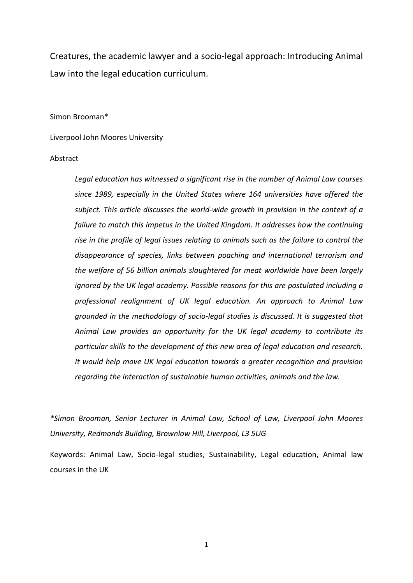Creatures, the academic lawyer and a socio-legal approach: Introducing Animal Law into the legal education curriculum.

Simon Brooman\*

Liverpool John Moores University

### Abstract

*Legal education has witnessed a significant rise in the number of Animal Law courses since 1989, especially in the United States where 164 universities have offered the subject. This article discusses the world-wide growth in provision in the context of a failure to match this impetus in the United Kingdom. It addresses how the continuing rise in the profile of legal issues relating to animals such as the failure to control the disappearance of species, links between poaching and international terrorism and the welfare of 56 billion animals slaughtered for meat worldwide have been largely ignored by the UK legal academy. Possible reasons for this are postulated including a professional realignment of UK legal education. An approach to Animal Law grounded in the methodology of socio-legal studies is discussed. It is suggested that Animal Law provides an opportunity for the UK legal academy to contribute its particular skills to the development of this new area of legal education and research. It would help move UK legal education towards a greater recognition and provision regarding the interaction of sustainable human activities, animals and the law.*

*\*Simon Brooman, Senior Lecturer in Animal Law, School of Law, Liverpool John Moores University, Redmonds Building, Brownlow Hill, Liverpool, L3 5UG*

Keywords: Animal Law, Socio-legal studies, Sustainability, Legal education, Animal law courses in the UK

1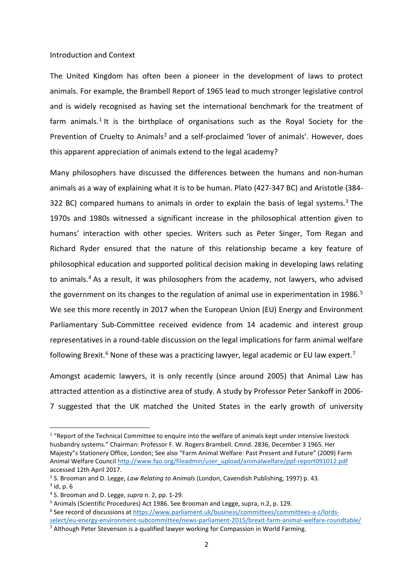### Introduction and Context

The United Kingdom has often been a pioneer in the development of laws to protect animals. For example, the Brambell Report of 1965 lead to much stronger legislative control and is widely recognised as having set the international benchmark for the treatment of farm animals.<sup>[1](#page-2-0)</sup> It is the birthplace of organisations such as the Royal Society for the Prevention of Cruelty to Animals<sup>[2](#page-2-1)</sup> and a self-proclaimed 'lover of animals'. However, does this apparent appreciation of animals extend to the legal academy?

Many philosophers have discussed the differences between the humans and non-human animals as a way of explaining what it is to be human. Plato (427-347 BC) and Aristotle (384- [3](#page-2-2)22 BC) compared humans to animals in order to explain the basis of legal systems.<sup>3</sup> The 1970s and 1980s witnessed a significant increase in the philosophical attention given to humans' interaction with other species. Writers such as Peter Singer, Tom Regan and Richard Ryder ensured that the nature of this relationship became a key feature of philosophical education and supported political decision making in developing laws relating to animals. [4](#page-2-3) As a result, it was philosophers from the academy, not lawyers, who advised the government on its changes to the regulation of animal use in experimentation in 1986.<sup>[5](#page-2-4)</sup> We see this more recently in 2017 when the European Union (EU) Energy and Environment Parliamentary Sub-Committee received evidence from 14 academic and interest group representatives in a round-table discussion on the legal implications for farm animal welfare following Brexit.<sup>[6](#page-2-5)</sup> None of these was a practicing lawyer, legal academic or EU law expert.<sup>[7](#page-2-6)</sup>

Amongst academic lawyers, it is only recently (since around 2005) that Animal Law has attracted attention as a distinctive area of study. A study by Professor Peter Sankoff in 2006- 7 suggested that the UK matched the United States in the early growth of university

<span id="page-2-0"></span><sup>&</sup>lt;sup>1</sup> "Report of the Technical Committee to enquire into the welfare of animals kept under intensive livestock husbandry systems." Chairman: Professor F. W. Rogers Brambell. Cmnd. 2836, December 3 1965. Her Majesty"s Stationery Office, London; See also "Farm Animal Welfare: Past Present and Future" (2009) Farm Animal Welfare Counci[l http://www.fao.org/fileadmin/user\\_upload/animalwelfare/ppf-report091012.pdf](http://www.fao.org/fileadmin/user_upload/animalwelfare/ppf-report091012.pdf) accessed 12th April 2017.

<span id="page-2-1"></span><sup>2</sup> S. Brooman and D. Legge, *Law Relating to Animals* (London, Cavendish Publishing, 1997) p. 43.  $3$  id, p. 6

<span id="page-2-3"></span><span id="page-2-2"></span><sup>4</sup> S. Brooman and D. Legge, *supra* n. 2, pp. 1-29.

<span id="page-2-4"></span><sup>5</sup> Animals (Scientific Procedures) Act 1986. See Brooman and Legge, supra, n.2, p. 129.

<span id="page-2-6"></span><span id="page-2-5"></span><sup>&</sup>lt;sup>6</sup> See record of discussions at [https://www.parliament.uk/business/committees/committees-a-z/lords](https://www.parliament.uk/business/committees/committees-a-z/lords-select/eu-energy-environment-subcommittee/news-parliament-2015/brexit-farm-animal-welfare-roundtable/)[select/eu-energy-environment-subcommittee/news-parliament-2015/brexit-farm-animal-welfare-roundtable/](https://www.parliament.uk/business/committees/committees-a-z/lords-select/eu-energy-environment-subcommittee/news-parliament-2015/brexit-farm-animal-welfare-roundtable/)  $<sup>7</sup>$  Although Peter Stevenson is a qualified lawyer working for Compassion in World Farming.</sup>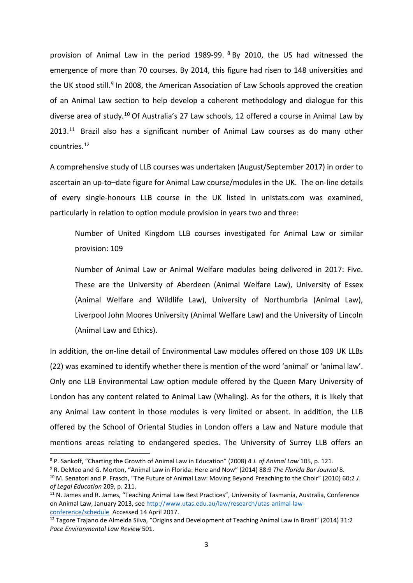provision of Animal Law in the period 1989-99. [8](#page-3-0) By 2010, the US had witnessed the emergence of more than 70 courses. By 2014, this figure had risen to 148 universities and the UK stood still.<sup>[9](#page-3-1)</sup> In 2008, the American Association of Law Schools approved the creation of an Animal Law section to help develop a coherent methodology and dialogue for this diverse area of study.[10](#page-3-2) Of Australia's 27 Law schools, 12 offered a course in Animal Law by 2013.<sup>[11](#page-3-3)</sup> Brazil also has a significant number of Animal Law courses as do many other countries.[12](#page-3-4)

A comprehensive study of LLB courses was undertaken (August/September 2017) in order to ascertain an up-to–date figure for Animal Law course/modules in the UK. The on-line details of every single-honours LLB course in the UK listed in unistats.com was examined, particularly in relation to option module provision in years two and three:

Number of United Kingdom LLB courses investigated for Animal Law or similar provision: 109

Number of Animal Law or Animal Welfare modules being delivered in 2017: Five. These are the University of Aberdeen (Animal Welfare Law), University of Essex (Animal Welfare and Wildlife Law), University of Northumbria (Animal Law), Liverpool John Moores University (Animal Welfare Law) and the University of Lincoln (Animal Law and Ethics).

In addition, the on-line detail of Environmental Law modules offered on those 109 UK LLBs (22) was examined to identify whether there is mention of the word 'animal' or 'animal law'. Only one LLB Environmental Law option module offered by the Queen Mary University of London has any content related to Animal Law (Whaling). As for the others, it is likely that any Animal Law content in those modules is very limited or absent. In addition, the LLB offered by the School of Oriental Studies in London offers a Law and Nature module that mentions areas relating to endangered species. The University of Surrey LLB offers an

<span id="page-3-0"></span> <sup>8</sup> P. Sankoff, "Charting the Growth of Animal Law in Education" (2008) 4 *J. of Animal Law* 105, p. 121.

<span id="page-3-1"></span><sup>9</sup> R. DeMeo and G. Morton, "Animal Law in Florida: Here and Now" (2014) 88:9 *The Florida Bar Journal* 8.

<span id="page-3-2"></span><sup>10</sup> M. Senatori and P. Frasch, "The Future of Animal Law: Moving Beyond Preaching to the Choir" (2010) 60:2 *J. of Legal Education* 209, p. 211.

<span id="page-3-3"></span><sup>&</sup>lt;sup>11</sup> N. James and R. James, "Teaching Animal Law Best Practices", University of Tasmania, Australia, Conference on Animal Law, January 2013, see [http://www.utas.edu.au/law/research/utas-animal-law](http://www.utas.edu.au/law/research/utas-animal-law-conference/schedule)[conference/schedule](http://www.utas.edu.au/law/research/utas-animal-law-conference/schedule) Accessed 14 April 2017.

<span id="page-3-4"></span><sup>12</sup> Tagore Trajano de Almeida Silva, "Origins and Development of Teaching Animal Law in Brazil" (2014) 31:2 *Pace Environmental Law Review* 501.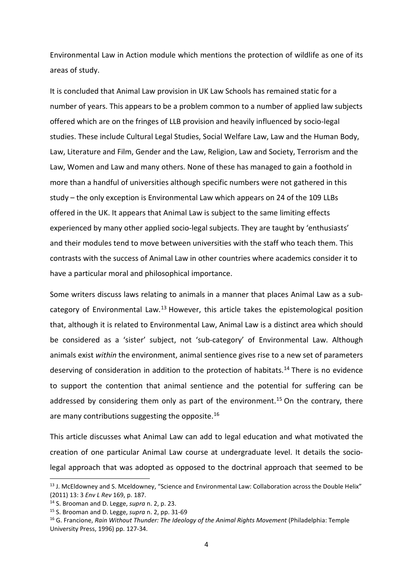Environmental Law in Action module which mentions the protection of wildlife as one of its areas of study.

It is concluded that Animal Law provision in UK Law Schools has remained static for a number of years. This appears to be a problem common to a number of applied law subjects offered which are on the fringes of LLB provision and heavily influenced by socio-legal studies. These include Cultural Legal Studies, Social Welfare Law, Law and the Human Body, Law, Literature and Film, Gender and the Law, Religion, Law and Society, Terrorism and the Law, Women and Law and many others. None of these has managed to gain a foothold in more than a handful of universities although specific numbers were not gathered in this study – the only exception is Environmental Law which appears on 24 of the 109 LLBs offered in the UK. It appears that Animal Law is subject to the same limiting effects experienced by many other applied socio-legal subjects. They are taught by 'enthusiasts' and their modules tend to move between universities with the staff who teach them. This contrasts with the success of Animal Law in other countries where academics consider it to have a particular moral and philosophical importance.

Some writers discuss laws relating to animals in a manner that places Animal Law as a sub-category of Environmental Law.<sup>[13](#page-4-0)</sup> However, this article takes the epistemological position that, although it is related to Environmental Law, Animal Law is a distinct area which should be considered as a 'sister' subject, not 'sub-category' of Environmental Law. Although animals exist *within* the environment, animal sentience gives rise to a new set of parameters deserving of consideration in addition to the protection of habitats.<sup>[14](#page-4-1)</sup> There is no evidence to support the contention that animal sentience and the potential for suffering can be addressed by considering them only as part of the environment.<sup>[15](#page-4-2)</sup> On the contrary, there are many contributions suggesting the opposite.<sup>[16](#page-4-3)</sup>

This article discusses what Animal Law can add to legal education and what motivated the creation of one particular Animal Law course at undergraduate level. It details the sociolegal approach that was adopted as opposed to the doctrinal approach that seemed to be

<span id="page-4-0"></span><sup>&</sup>lt;sup>13</sup> J. McEldowney and S. Mceldowney, "Science and Environmental Law: Collaboration across the Double Helix" (2011) 13: 3 *Env L Rev* 169, p. 187.

<span id="page-4-1"></span><sup>14</sup> S. Brooman and D. Legge, *supra* n. 2, p. 23.

<span id="page-4-2"></span><sup>15</sup> S. Brooman and D. Legge, *supra* n. 2, pp. 31-69

<span id="page-4-3"></span><sup>16</sup> G. Francione, *Rain Without Thunder: The Ideology of the Animal Rights Movement* (Philadelphia: Temple University Press, 1996) pp. 127-34.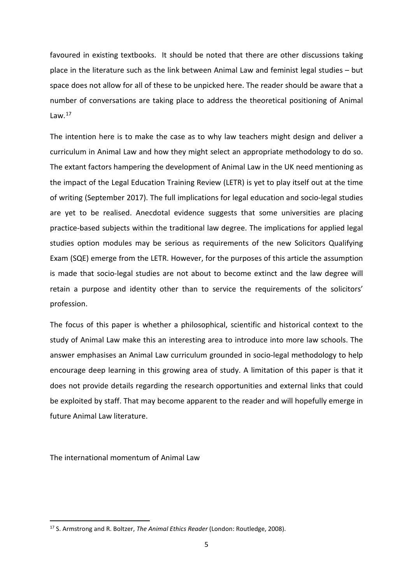favoured in existing textbooks. It should be noted that there are other discussions taking place in the literature such as the link between Animal Law and feminist legal studies – but space does not allow for all of these to be unpicked here. The reader should be aware that a number of conversations are taking place to address the theoretical positioning of Animal Law. $17$ 

The intention here is to make the case as to why law teachers might design and deliver a curriculum in Animal Law and how they might select an appropriate methodology to do so. The extant factors hampering the development of Animal Law in the UK need mentioning as the impact of the Legal Education Training Review (LETR) is yet to play itself out at the time of writing (September 2017). The full implications for legal education and socio-legal studies are yet to be realised. Anecdotal evidence suggests that some universities are placing practice-based subjects within the traditional law degree. The implications for applied legal studies option modules may be serious as requirements of the new Solicitors Qualifying Exam (SQE) emerge from the LETR. However, for the purposes of this article the assumption is made that socio-legal studies are not about to become extinct and the law degree will retain a purpose and identity other than to service the requirements of the solicitors' profession.

The focus of this paper is whether a philosophical, scientific and historical context to the study of Animal Law make this an interesting area to introduce into more law schools. The answer emphasises an Animal Law curriculum grounded in socio-legal methodology to help encourage deep learning in this growing area of study. A limitation of this paper is that it does not provide details regarding the research opportunities and external links that could be exploited by staff. That may become apparent to the reader and will hopefully emerge in future Animal Law literature.

The international momentum of Animal Law

<span id="page-5-0"></span> <sup>17</sup> S. Armstrong and R. Boltzer, *The Animal Ethics Reader* (London: Routledge, 2008).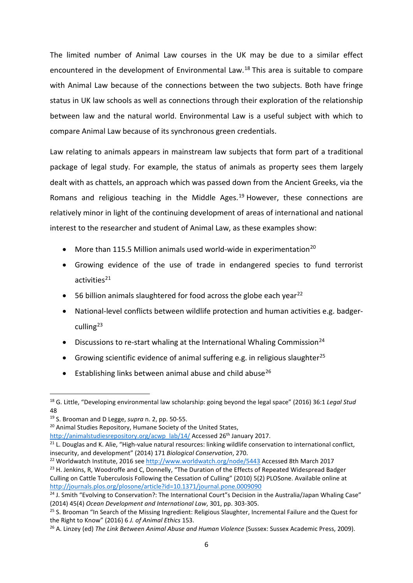The limited number of Animal Law courses in the UK may be due to a similar effect encountered in the development of Environmental Law.<sup>[18](#page-6-0)</sup> This area is suitable to compare with Animal Law because of the connections between the two subjects. Both have fringe status in UK law schools as well as connections through their exploration of the relationship between law and the natural world. Environmental Law is a useful subject with which to compare Animal Law because of its synchronous green credentials.

Law relating to animals appears in mainstream law subjects that form part of a traditional package of legal study. For example, the status of animals as property sees them largely dealt with as chattels, an approach which was passed down from the Ancient Greeks, via the Romans and religious teaching in the Middle Ages.<sup>[19](#page-6-1)</sup> However, these connections are relatively minor in light of the continuing development of areas of international and national interest to the researcher and student of Animal Law, as these examples show:

- More than 115.5 Million animals used world-wide in experimentation<sup>[20](#page-6-2)</sup>
- Growing evidence of the use of trade in endangered species to fund terrorist activities<sup>[21](#page-6-3)</sup>
- 56 billion animals slaughtered for food across the globe each year<sup>22</sup>
- National-level conflicts between wildlife protection and human activities e.g. badgerculling $^{23}$  $^{23}$  $^{23}$
- Discussions to re-start whaling at the International Whaling Commission<sup>[24](#page-6-6)</sup>
- Growing scientific evidence of animal suffering e.g. in religious slaughter<sup>[25](#page-6-7)</sup>
- Establishing links between animal abuse and child abuse<sup>[26](#page-6-8)</sup>

<span id="page-6-0"></span> <sup>18</sup> G. Little, "Developing environmental law scholarship: going beyond the legal space" (2016) 36:1 *Legal Stud* 48

<span id="page-6-1"></span><sup>19</sup> S. Brooman and D Legge, *supra* n. 2, pp. 50-55.

<span id="page-6-2"></span><sup>&</sup>lt;sup>20</sup> Animal Studies Repository, Humane Society of the United States,

[http://animalstudiesrepository.org/acwp\\_lab/14/](http://animalstudiesrepository.org/acwp_lab/14/) Accessed 26<sup>th</sup> January 2017.

<span id="page-6-3"></span><sup>&</sup>lt;sup>21</sup> L. Douglas and K. Alie, "High-value natural resources: linking wildlife conservation to international conflict, insecurity, and development" (2014) 171 *Biological Conservation*, 270.

<span id="page-6-4"></span><sup>&</sup>lt;sup>22</sup> Worldwatch Institute, 2016 see<http://www.worldwatch.org/node/5443> Accessed 8th March 2017

<span id="page-6-5"></span><sup>&</sup>lt;sup>23</sup> H. Jenkins, R, Woodroffe and C, Donnelly, "The Duration of the Effects of Repeated Widespread Badger Culling on Cattle Tuberculosis Following the Cessation of Culling" (2010) 5(2) PLOSone. Available online at <http://journals.plos.org/plosone/article?id=10.1371/journal.pone.0009090>

<span id="page-6-6"></span><sup>&</sup>lt;sup>24</sup> J. Smith "Evolving to Conservation?: The International Court"s Decision in the Australia/Japan Whaling Case" (2014) 45(4) *Ocean Development and International Law*, 301, pp. 303-305.

<span id="page-6-7"></span><sup>&</sup>lt;sup>25</sup> S. Brooman "In Search of the Missing Ingredient: Religious Slaughter, Incremental Failure and the Quest for the Right to Know" (2016) 6 *J. of Animal Ethics* 153.

<span id="page-6-8"></span><sup>26</sup> A. Linzey (ed) *The Link Between Animal Abuse and Human Violence* (Sussex: Sussex Academic Press, 2009).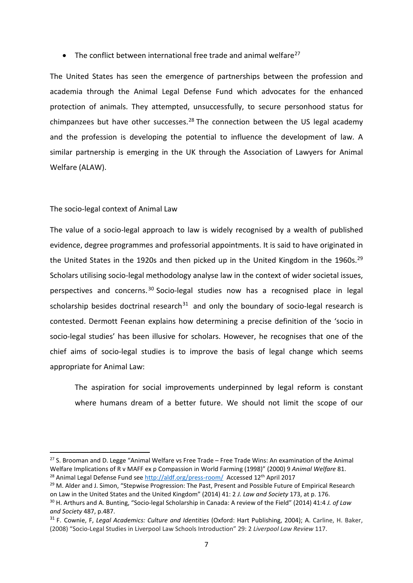• The conflict between international free trade and animal welfare<sup>[27](#page-7-0)</sup>

The United States has seen the emergence of partnerships between the profession and academia through the Animal Legal Defense Fund which advocates for the enhanced protection of animals. They attempted, unsuccessfully, to secure personhood status for chimpanzees but have other successes.<sup>[28](#page-7-1)</sup> The connection between the US legal academy and the profession is developing the potential to influence the development of law. A similar partnership is emerging in the UK through the Association of Lawyers for Animal Welfare (ALAW).

## The socio-legal context of Animal Law

The value of a socio-legal approach to law is widely recognised by a wealth of published evidence, degree programmes and professorial appointments. It is said to have originated in the United States in the 1920s and then picked up in the United Kingdom in the 1960s.<sup>[29](#page-7-2)</sup> Scholars utilising socio-legal methodology analyse law in the context of wider societal issues, perspectives and concerns. [30](#page-7-3) Socio-legal studies now has a recognised place in legal scholarship besides doctrinal research $31$  and only the boundary of socio-legal research is contested. Dermott Feenan explains how determining a precise definition of the 'socio in socio-legal studies' has been illusive for scholars. However, he recognises that one of the chief aims of socio-legal studies is to improve the basis of legal change which seems appropriate for Animal Law:

The aspiration for social improvements underpinned by legal reform is constant where humans dream of a better future. We should not limit the scope of our

<span id="page-7-0"></span><sup>&</sup>lt;sup>27</sup> S. Brooman and D. Legge "Animal Welfare vs Free Trade – Free Trade Wins: An examination of the Animal Welfare Implications of R v MAFF ex p Compassion in World Farming (1998)" (2000) 9 *Animal Welfare* 81. <sup>28</sup> Animal Legal Defense Fund see<http://aldf.org/press-room/>Accessed 12<sup>th</sup> April 2017

<span id="page-7-2"></span><span id="page-7-1"></span><sup>&</sup>lt;sup>29</sup> M. Alder and J. Simon, "Stepwise Progression: The Past, Present and Possible Future of Empirical Research on Law in the United States and the United Kingdom" (2014) 41: 2 *J. Law and Society* 173, at p. 176.

<span id="page-7-3"></span><sup>30</sup> H. Arthurs and A. Bunting, "Socio-legal Scholarship in Canada: A review of the Field" (2014) 41:4 *J. of Law and Society* 487, p.487.

<span id="page-7-4"></span><sup>31</sup> F. Cownie, F, *Legal Academics: Culture and Identities* (Oxford: Hart Publishing, 2004); A. Carline, H. Baker, (2008) "Socio-Legal Studies in Liverpool Law Schools Introduction" 29: 2 *Liverpool Law Review* 117.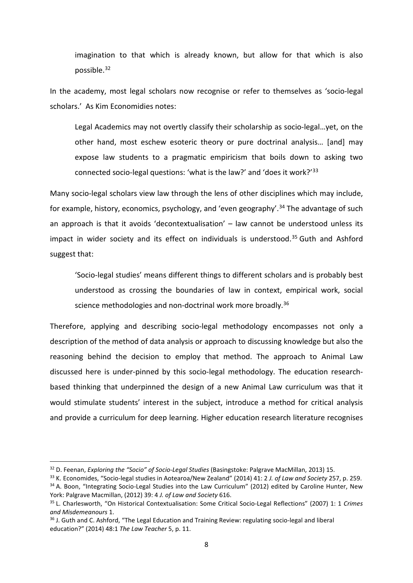imagination to that which is already known, but allow for that which is also possible.[32](#page-8-0)

In the academy, most legal scholars now recognise or refer to themselves as 'socio-legal scholars.' As Kim Economidies notes:

Legal Academics may not overtly classify their scholarship as socio-legal…yet, on the other hand, most eschew esoteric theory or pure doctrinal analysis… [and] may expose law students to a pragmatic empiricism that boils down to asking two connected socio-legal questions: 'what is the law?' and 'does it work?'[33](#page-8-1)

Many socio-legal scholars view law through the lens of other disciplines which may include, for example, history, economics, psychology, and 'even geography'.<sup>[34](#page-8-2)</sup> The advantage of such an approach is that it avoids 'decontextualisation' – law cannot be understood unless its impact in wider society and its effect on individuals is understood. [35](#page-8-3) Guth and Ashford suggest that:

'Socio-legal studies' means different things to different scholars and is probably best understood as crossing the boundaries of law in context, empirical work, social science methodologies and non-doctrinal work more broadly.<sup>[36](#page-8-4)</sup>

Therefore, applying and describing socio-legal methodology encompasses not only a description of the method of data analysis or approach to discussing knowledge but also the reasoning behind the decision to employ that method. The approach to Animal Law discussed here is under-pinned by this socio-legal methodology. The education researchbased thinking that underpinned the design of a new Animal Law curriculum was that it would stimulate students' interest in the subject, introduce a method for critical analysis and provide a curriculum for deep learning. Higher education research literature recognises

<span id="page-8-0"></span> <sup>32</sup> D. Feenan, *Exploring the "Socio" of Socio-Legal Studies* (Basingstoke: Palgrave MacMillan, 2013) 15.

<span id="page-8-2"></span><span id="page-8-1"></span><sup>33</sup> K. Economides, "Socio-legal studies in Aotearoa/New Zealand" (2014) 41: 2 *J. of Law and Society* 257, p. 259. <sup>34</sup> A. Boon, "Integrating Socio-Legal Studies into the Law Curriculum" (2012) edited by Caroline Hunter, New York: Palgrave Macmillan, (2012) 39: 4 *J. of Law and Society* 616.

<span id="page-8-3"></span><sup>35</sup> L. Charlesworth, "On Historical Contextualisation: Some Critical Socio-Legal Reflections" (2007) 1: 1 *Crimes and Misdemeanours* 1.

<span id="page-8-4"></span><sup>36</sup> J. Guth and C. Ashford, "The Legal Education and Training Review: regulating socio-legal and liberal education?" (2014) 48:1 *The Law Teacher* 5, p. 11.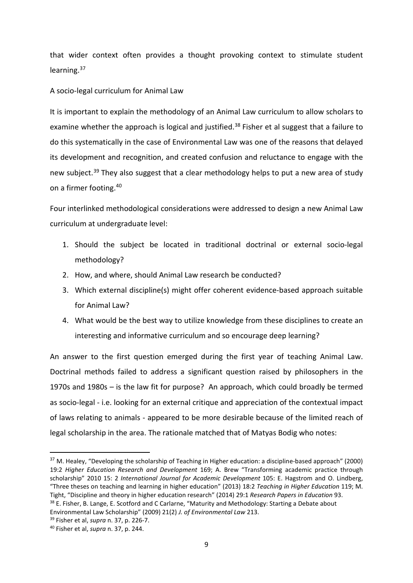that wider context often provides a thought provoking context to stimulate student learning.[37](#page-9-0)

A socio-legal curriculum for Animal Law

It is important to explain the methodology of an Animal Law curriculum to allow scholars to examine whether the approach is logical and justified.<sup>[38](#page-9-1)</sup> Fisher et al suggest that a failure to do this systematically in the case of Environmental Law was one of the reasons that delayed its development and recognition, and created confusion and reluctance to engage with the new subject.<sup>[39](#page-9-2)</sup> They also suggest that a clear methodology helps to put a new area of study on a firmer footing[.40](#page-9-3)

Four interlinked methodological considerations were addressed to design a new Animal Law curriculum at undergraduate level:

- 1. Should the subject be located in traditional doctrinal or external socio-legal methodology?
- 2. How, and where, should Animal Law research be conducted?
- 3. Which external discipline(s) might offer coherent evidence-based approach suitable for Animal Law?
- 4. What would be the best way to utilize knowledge from these disciplines to create an interesting and informative curriculum and so encourage deep learning?

An answer to the first question emerged during the first year of teaching Animal Law. Doctrinal methods failed to address a significant question raised by philosophers in the 1970s and 1980s – is the law fit for purpose? An approach, which could broadly be termed as socio-legal - i.e. looking for an external critique and appreciation of the contextual impact of laws relating to animals - appeared to be more desirable because of the limited reach of legal scholarship in the area. The rationale matched that of Matyas Bodig who notes:

<span id="page-9-0"></span><sup>&</sup>lt;sup>37</sup> M. Healey, "Developing the scholarship of Teaching in Higher education: a discipline-based approach" (2000) 19:2 *Higher Education Research and Development* 169; A. Brew "Transforming academic practice through scholarship" 2010 15: 2 *International Journal for Academic Development* 105: E. Hagstrom and O. Lindberg, "Three theses on teaching and learning in higher education" (2013) 18:2 *Teaching in Higher Education* 119; M. Tight, "Discipline and theory in higher education research" (2014) 29:1 *Research Papers in Education* 93.

<span id="page-9-1"></span><sup>&</sup>lt;sup>38</sup> E. Fisher, B. Lange, E. Scotford and C Carlarne, "Maturity and Methodology: Starting a Debate about Environmental Law Scholarship" (2009) 21(2) *J. of Environmental Law* 213.

<span id="page-9-2"></span><sup>39</sup> Fisher et al, *supra* n. 37, p. 226-7.

<span id="page-9-3"></span><sup>40</sup> Fisher et al, *supra* n. 37, p. 244.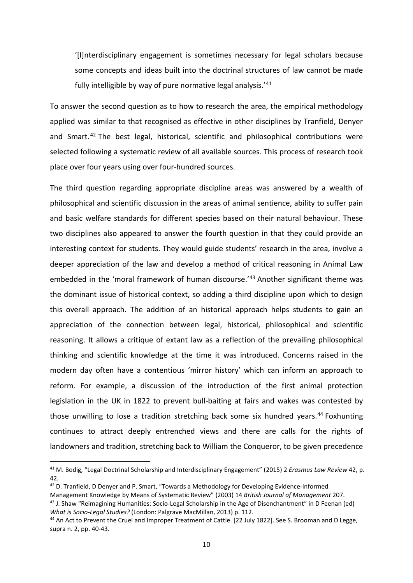'[I]nterdisciplinary engagement is sometimes necessary for legal scholars because some concepts and ideas built into the doctrinal structures of law cannot be made fully intelligible by way of pure normative legal analysis.'[41](#page-10-0)

To answer the second question as to how to research the area, the empirical methodology applied was similar to that recognised as effective in other disciplines by Tranfield, Denyer and Smart.<sup>[42](#page-10-1)</sup> The best legal, historical, scientific and philosophical contributions were selected following a systematic review of all available sources. This process of research took place over four years using over four-hundred sources.

The third question regarding appropriate discipline areas was answered by a wealth of philosophical and scientific discussion in the areas of animal sentience, ability to suffer pain and basic welfare standards for different species based on their natural behaviour. These two disciplines also appeared to answer the fourth question in that they could provide an interesting context for students. They would guide students' research in the area, involve a deeper appreciation of the law and develop a method of critical reasoning in Animal Law embedded in the 'moral framework of human discourse.'<sup>[43](#page-10-2)</sup> Another significant theme was the dominant issue of historical context, so adding a third discipline upon which to design this overall approach. The addition of an historical approach helps students to gain an appreciation of the connection between legal, historical, philosophical and scientific reasoning. It allows a critique of extant law as a reflection of the prevailing philosophical thinking and scientific knowledge at the time it was introduced. Concerns raised in the modern day often have a contentious 'mirror history' which can inform an approach to reform. For example, a discussion of the introduction of the first animal protection legislation in the UK in 1822 to prevent bull-baiting at fairs and wakes was contested by those unwilling to lose a tradition stretching back some six hundred years. [44](#page-10-3) Foxhunting continues to attract deeply entrenched views and there are calls for the rights of landowners and tradition, stretching back to William the Conqueror, to be given precedence

<span id="page-10-0"></span> <sup>41</sup> M. Bodig, "Legal Doctrinal Scholarship and Interdisciplinary Engagement" (2015) 2 *Erasmus Law Review* 42, p. 42.

<span id="page-10-1"></span><sup>&</sup>lt;sup>42</sup> D. Tranfield, D Denyer and P. Smart, "Towards a Methodology for Developing Evidence-Informed

<span id="page-10-2"></span>Management Knowledge by Means of Systematic Review" (2003) 14 *British Journal of Management* 207. 43 J. Shaw "Reimagining Humanities: Socio-Legal Scholarship in the Age of Disenchantment" in D Feenan (ed) *What is Socio-Legal Studies?* (London: Palgrave MacMillan, 2013) p. 112.

<span id="page-10-3"></span><sup>44</sup> An Act to Prevent the Cruel and Improper Treatment of Cattle. [22 July 1822]. See S. Brooman and D Legge, supra n. 2, pp. 40-43.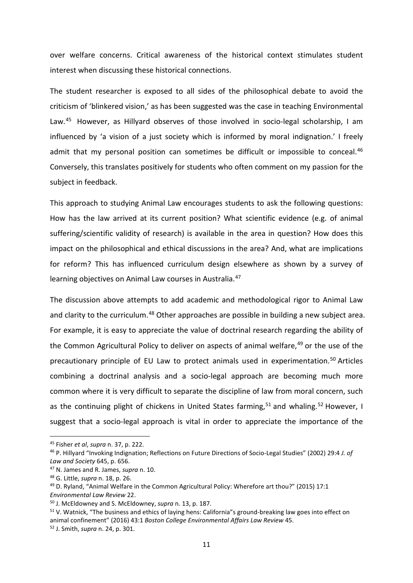over welfare concerns. Critical awareness of the historical context stimulates student interest when discussing these historical connections.

The student researcher is exposed to all sides of the philosophical debate to avoid the criticism of 'blinkered vision,' as has been suggested was the case in teaching Environmental Law.<sup>[45](#page-11-0)</sup> However, as Hillyard observes of those involved in socio-legal scholarship, I am influenced by 'a vision of a just society which is informed by moral indignation.' I freely admit that my personal position can sometimes be difficult or impossible to conceal.<sup>[46](#page-11-1)</sup> Conversely, this translates positively for students who often comment on my passion for the subject in feedback.

This approach to studying Animal Law encourages students to ask the following questions: How has the law arrived at its current position? What scientific evidence (e.g. of animal suffering/scientific validity of research) is available in the area in question? How does this impact on the philosophical and ethical discussions in the area? And, what are implications for reform? This has influenced curriculum design elsewhere as shown by a survey of learning objectives on Animal Law courses in Australia.[47](#page-11-2)

The discussion above attempts to add academic and methodological rigor to Animal Law and clarity to the curriculum.<sup>[48](#page-11-3)</sup> Other approaches are possible in building a new subject area. For example, it is easy to appreciate the value of doctrinal research regarding the ability of the Common Agricultural Policy to deliver on aspects of animal welfare,<sup>[49](#page-11-4)</sup> or the use of the precautionary principle of EU Law to protect animals used in experimentation.<sup>[50](#page-11-5)</sup> Articles combining a doctrinal analysis and a socio-legal approach are becoming much more common where it is very difficult to separate the discipline of law from moral concern, such as the continuing plight of chickens in United States farming,<sup>[51](#page-11-6)</sup> and whaling.<sup>[52](#page-11-7)</sup> However, I suggest that a socio-legal approach is vital in order to appreciate the importance of the

<span id="page-11-0"></span> <sup>45</sup> Fisher *et al*, *supra* n. 37, p. 222.

<span id="page-11-1"></span><sup>46</sup> P. Hillyard "Invoking Indignation; Reflections on Future Directions of Socio-Legal Studies" (2002) 29:4 *J. of Law and Society* 645, p. 656.

<span id="page-11-2"></span><sup>47</sup> N. James and R. James, *supra* n. 10.

<span id="page-11-3"></span><sup>48</sup> G. Little, *supra* n. 18, p. 26.

<span id="page-11-4"></span><sup>49</sup> D. Ryland, "Animal Welfare in the Common Agricultural Policy: Wherefore art thou?" (2015) 17:1 *Environmental Law Review* 22.

<span id="page-11-5"></span><sup>50</sup> J. McEldowney and S. McEldowney, *supra* n. 13, p. 187.

<span id="page-11-6"></span><sup>&</sup>lt;sup>51</sup> V. Watnick, "The business and ethics of laying hens: California"s ground-breaking law goes into effect on animal confinement" (2016) 43:1 *Boston College Environmental Affairs Law Review* 45. 52 J. Smith, *supra* n. 24, p. 301.

<span id="page-11-7"></span>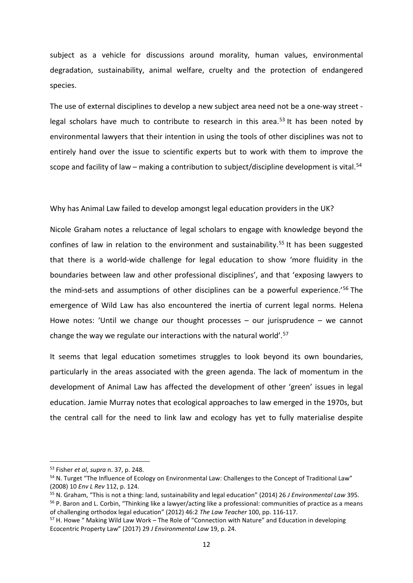subject as a vehicle for discussions around morality, human values, environmental degradation, sustainability, animal welfare, cruelty and the protection of endangered species.

The use of external disciplines to develop a new subject area need not be a one-way street - legal scholars have much to contribute to research in this area.<sup>[53](#page-12-0)</sup> It has been noted by environmental lawyers that their intention in using the tools of other disciplines was not to entirely hand over the issue to scientific experts but to work with them to improve the scope and facility of law – making a contribution to subject/discipline development is vital.<sup>[54](#page-12-1)</sup>

Why has Animal Law failed to develop amongst legal education providers in the UK?

Nicole Graham notes a reluctance of legal scholars to engage with knowledge beyond the confines of law in relation to the environment and sustainability.<sup>[55](#page-12-2)</sup> It has been suggested that there is a world-wide challenge for legal education to show 'more fluidity in the boundaries between law and other professional disciplines', and that 'exposing lawyers to the mind-sets and assumptions of other disciplines can be a powerful experience.' [56](#page-12-3) The emergence of Wild Law has also encountered the inertia of current legal norms. Helena Howe notes: 'Until we change our thought processes – our jurisprudence – we cannot change the way we regulate our interactions with the natural world'. [57](#page-12-4)

It seems that legal education sometimes struggles to look beyond its own boundaries, particularly in the areas associated with the green agenda. The lack of momentum in the development of Animal Law has affected the development of other 'green' issues in legal education. Jamie Murray notes that ecological approaches to law emerged in the 1970s, but the central call for the need to link law and ecology has yet to fully materialise despite

<span id="page-12-0"></span> <sup>53</sup> Fisher *et al*, *supra* n. 37, p. 248.

<span id="page-12-1"></span><sup>54</sup> N. Turget "The Influence of Ecology on Environmental Law: Challenges to the Concept of Traditional Law" (2008) 10 *Env L Rev* 112, p. 124.

<span id="page-12-2"></span><sup>55</sup> N. Graham, "This is not a thing: land, sustainability and legal education" (2014) 26 *J Environmental Law* 395.

<span id="page-12-3"></span><sup>&</sup>lt;sup>56</sup> P. Baron and L. Corbin, "Thinking like a lawyer/acting like a professional: communities of practice as a means of challenging orthodox legal education" (2012) 46:2 *The Law Teacher* 100, pp. 116-117.

<span id="page-12-4"></span><sup>&</sup>lt;sup>57</sup> H. Howe " Making Wild Law Work – The Role of "Connection with Nature" and Education in developing Ecocentric Property Law" (2017) 29 *J Environmental Law* 19, p. 24.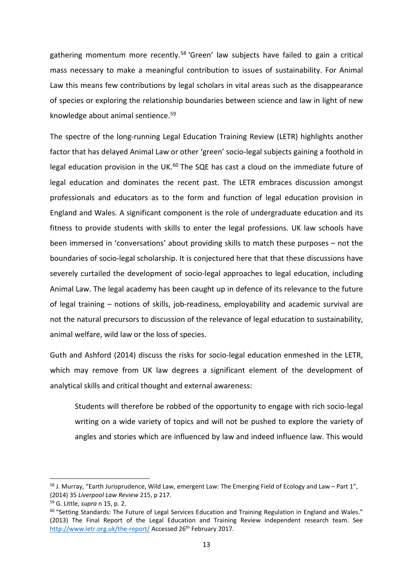gathering momentum more recently.<sup>[58](#page-13-0)</sup> 'Green' law subjects have failed to gain a critical mass necessary to make a meaningful contribution to issues of sustainability. For Animal Law this means few contributions by legal scholars in vital areas such as the disappearance of species or exploring the relationship boundaries between science and law in light of new knowledge about animal sentience. [59](#page-13-1)

The spectre of the long-running Legal Education Training Review (LETR) highlights another factor that has delayed Animal Law or other 'green' socio-legal subjects gaining a foothold in legal education provision in the UK. $^{60}$  $^{60}$  $^{60}$  The SQE has cast a cloud on the immediate future of legal education and dominates the recent past. The LETR embraces discussion amongst professionals and educators as to the form and function of legal education provision in England and Wales. A significant component is the role of undergraduate education and its fitness to provide students with skills to enter the legal professions. UK law schools have been immersed in 'conversations' about providing skills to match these purposes – not the boundaries of socio-legal scholarship. It is conjectured here that that these discussions have severely curtailed the development of socio-legal approaches to legal education, including Animal Law. The legal academy has been caught up in defence of its relevance to the future of legal training – notions of skills, job-readiness, employability and academic survival are not the natural precursors to discussion of the relevance of legal education to sustainability, animal welfare, wild law or the loss of species.

Guth and Ashford (2014) discuss the risks for socio-legal education enmeshed in the LETR, which may remove from UK law degrees a significant element of the development of analytical skills and critical thought and external awareness:

Students will therefore be robbed of the opportunity to engage with rich socio-legal writing on a wide variety of topics and will not be pushed to explore the variety of angles and stories which are influenced by law and indeed influence law. This would

<span id="page-13-0"></span> $58$  J. Murray, "Earth Jurisprudence, Wild Law, emergent Law: The Emerging Field of Ecology and Law – Part 1", (2014) 35 *Liverpool Law Review* 215, p 217.

<span id="page-13-1"></span><sup>59</sup> G. Little, *supra* n 15, p. 2.

<span id="page-13-2"></span> $60$  "Setting Standards: The Future of Legal Services Education and Training Regulation in England and Wales." (2013) The Final Report of the Legal Education and Training Review independent research team. See <http://www.letr.org.uk/the-report/> Accessed 26<sup>th</sup> February 2017.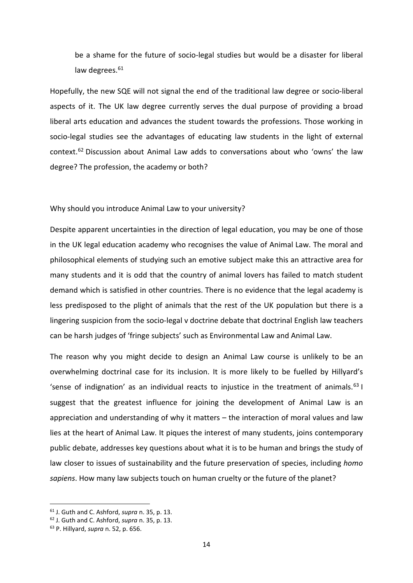be a shame for the future of socio-legal studies but would be a disaster for liberal law degrees.<sup>[61](#page-14-0)</sup>

Hopefully, the new SQE will not signal the end of the traditional law degree or socio-liberal aspects of it. The UK law degree currently serves the dual purpose of providing a broad liberal arts education and advances the student towards the professions. Those working in socio-legal studies see the advantages of educating law students in the light of external context. [62](#page-14-1) Discussion about Animal Law adds to conversations about who 'owns' the law degree? The profession, the academy or both?

## Why should you introduce Animal Law to your university?

Despite apparent uncertainties in the direction of legal education, you may be one of those in the UK legal education academy who recognises the value of Animal Law. The moral and philosophical elements of studying such an emotive subject make this an attractive area for many students and it is odd that the country of animal lovers has failed to match student demand which is satisfied in other countries. There is no evidence that the legal academy is less predisposed to the plight of animals that the rest of the UK population but there is a lingering suspicion from the socio-legal v doctrine debate that doctrinal English law teachers can be harsh judges of 'fringe subjects' such as Environmental Law and Animal Law.

The reason why you might decide to design an Animal Law course is unlikely to be an overwhelming doctrinal case for its inclusion. It is more likely to be fuelled by Hillyard's 'sense of indignation' as an individual reacts to injustice in the treatment of animals. [63](#page-14-2) I suggest that the greatest influence for joining the development of Animal Law is an appreciation and understanding of why it matters – the interaction of moral values and law lies at the heart of Animal Law. It piques the interest of many students, joins contemporary public debate, addresses key questions about what it is to be human and brings the study of law closer to issues of sustainability and the future preservation of species, including *homo sapiens*. How many law subjects touch on human cruelty or the future of the planet?

<span id="page-14-0"></span> <sup>61</sup> J. Guth and C. Ashford, *supra* n. 35, p. 13.

<span id="page-14-1"></span><sup>62</sup> J. Guth and C. Ashford, *supra* n. 35, p. 13.

<span id="page-14-2"></span><sup>63</sup> P. Hillyard, *supra* n. 52, p. 656.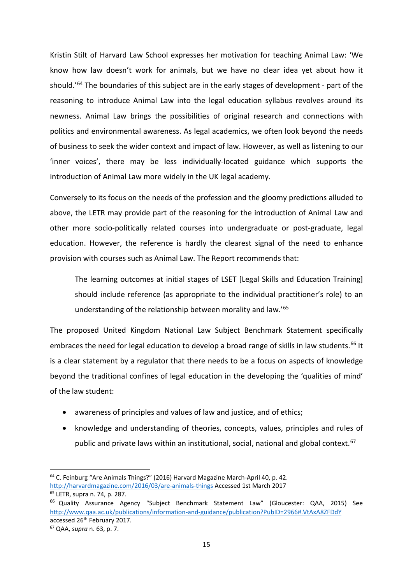Kristin Stilt of Harvard Law School expresses her motivation for teaching Animal Law: 'We know how law doesn't work for animals, but we have no clear idea yet about how it should.'[64](#page-15-0) The boundaries of this subject are in the early stages of development - part of the reasoning to introduce Animal Law into the legal education syllabus revolves around its newness. Animal Law brings the possibilities of original research and connections with politics and environmental awareness. As legal academics, we often look beyond the needs of business to seek the wider context and impact of law. However, as well as listening to our 'inner voices', there may be less individually-located guidance which supports the introduction of Animal Law more widely in the UK legal academy.

Conversely to its focus on the needs of the profession and the gloomy predictions alluded to above, the LETR may provide part of the reasoning for the introduction of Animal Law and other more socio-politically related courses into undergraduate or post-graduate, legal education. However, the reference is hardly the clearest signal of the need to enhance provision with courses such as Animal Law. The Report recommends that:

The learning outcomes at initial stages of LSET [Legal Skills and Education Training] should include reference (as appropriate to the individual practitioner's role) to an understanding of the relationship between morality and law.'[65](#page-15-1)

The proposed United Kingdom National Law Subject Benchmark Statement specifically embraces the need for legal education to develop a broad range of skills in law students.<sup>66</sup> It is a clear statement by a regulator that there needs to be a focus on aspects of knowledge beyond the traditional confines of legal education in the developing the 'qualities of mind' of the law student:

- awareness of principles and values of law and justice, and of ethics;
- knowledge and understanding of theories, concepts, values, principles and rules of public and private laws within an institutional, social, national and global context.<sup>[67](#page-15-3)</sup>

<span id="page-15-0"></span> <sup>64</sup> C. Feinburg "Are Animals Things?" (2016) Harvard Magazine March-April 40, p. 42. <http://harvardmagazine.com/2016/03/are-animals-things> Accessed 1st March 2017

<span id="page-15-1"></span><sup>65</sup> LETR, supra n. 74, p. 287.

<span id="page-15-2"></span><sup>66</sup> Quality Assurance Agency "Subject Benchmark Statement Law" (Gloucester: QAA, 2015) See <http://www.qaa.ac.uk/publications/information-and-guidance/publication?PubID=2966#.VtAxA8ZFDdY> accessed 26<sup>th</sup> February 2017.

<span id="page-15-3"></span><sup>67</sup> QAA, *supra* n. 63, p. 7.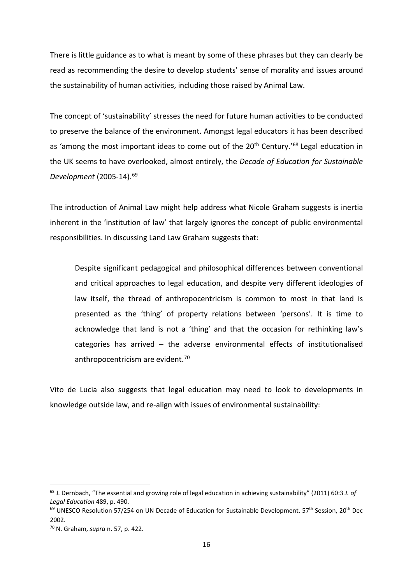There is little guidance as to what is meant by some of these phrases but they can clearly be read as recommending the desire to develop students' sense of morality and issues around the sustainability of human activities, including those raised by Animal Law.

The concept of 'sustainability' stresses the need for future human activities to be conducted to preserve the balance of the environment. Amongst legal educators it has been described as 'among the most important ideas to come out of the 20<sup>th</sup> Century.'<sup>[68](#page-16-0)</sup> Legal education in the UK seems to have overlooked, almost entirely, the *Decade of Education for Sustainable Development* (2005-14).[69](#page-16-1)

The introduction of Animal Law might help address what Nicole Graham suggests is inertia inherent in the 'institution of law' that largely ignores the concept of public environmental responsibilities. In discussing Land Law Graham suggests that:

Despite significant pedagogical and philosophical differences between conventional and critical approaches to legal education, and despite very different ideologies of law itself, the thread of anthropocentricism is common to most in that land is presented as the 'thing' of property relations between 'persons'. It is time to acknowledge that land is not a 'thing' and that the occasion for rethinking law's categories has arrived – the adverse environmental effects of institutionalised anthropocentricism are evident.<sup>[70](#page-16-2)</sup>

Vito de Lucia also suggests that legal education may need to look to developments in knowledge outside law, and re-align with issues of environmental sustainability:

<span id="page-16-0"></span> <sup>68</sup> J. Dernbach, "The essential and growing role of legal education in achieving sustainability" (2011) 60:3 *J. of*  Legal Education 489, p. 490.<br><sup>69</sup> UNESCO Resolution 57/254 on UN Decade of Education for Sustainable Development. 57<sup>th</sup> Session, 20<sup>th</sup> Dec

<span id="page-16-1"></span><sup>2002.</sup>

<span id="page-16-2"></span><sup>70</sup> N. Graham, *supra* n. 57, p. 422.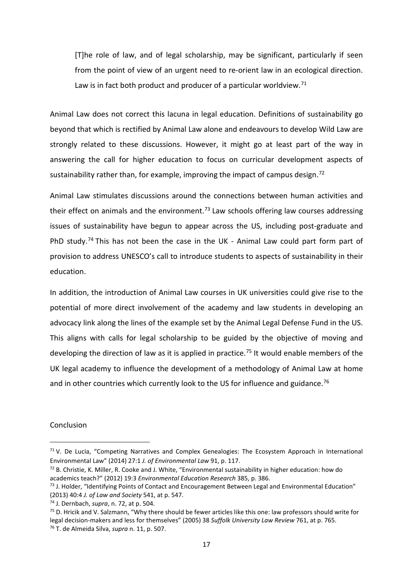[T]he role of law, and of legal scholarship, may be significant, particularly if seen from the point of view of an urgent need to re-orient law in an ecological direction. Law is in fact both product and producer of a particular worldview.<sup>[71](#page-17-0)</sup>

Animal Law does not correct this lacuna in legal education. Definitions of sustainability go beyond that which is rectified by Animal Law alone and endeavours to develop Wild Law are strongly related to these discussions. However, it might go at least part of the way in answering the call for higher education to focus on curricular development aspects of sustainability rather than, for example, improving the impact of campus design.<sup>[72](#page-17-1)</sup>

Animal Law stimulates discussions around the connections between human activities and their effect on animals and the environment.<sup>[73](#page-17-2)</sup> Law schools offering law courses addressing issues of sustainability have begun to appear across the US, including post-graduate and PhD study.<sup>[74](#page-17-3)</sup> This has not been the case in the UK - Animal Law could part form part of provision to address UNESCO's call to introduce students to aspects of sustainability in their education.

In addition, the introduction of Animal Law courses in UK universities could give rise to the potential of more direct involvement of the academy and law students in developing an advocacy link along the lines of the example set by the Animal Legal Defense Fund in the US. This aligns with calls for legal scholarship to be guided by the objective of moving and developing the direction of law as it is applied in practice.<sup>[75](#page-17-4)</sup> It would enable members of the UK legal academy to influence the development of a methodology of Animal Law at home and in other countries which currently look to the US for influence and guidance.<sup>76</sup>

## Conclusion

**.** 

<span id="page-17-0"></span> $71$  V. De Lucia, "Competing Narratives and Complex Genealogies: The Ecosystem Approach in International Environmental Law" (2014) 27:1 *J. of Environmental Law* 91, p. 117.

<span id="page-17-1"></span><sup>72</sup> B. Christie, K. Miller, R. Cooke and J. White, "Environmental sustainability in higher education: how do academics teach?" (2012) 19:3 *Environmental Education Research* 385, p. 386.

<span id="page-17-2"></span> $73$  J. Holder, "Identifying Points of Contact and Encouragement Between Legal and Environmental Education" (2013) 40:4 *J. of Law and Society* 541, at p. 547.

<span id="page-17-3"></span><sup>74</sup> J. Dernbach, *supra*, n. 72, at p. 504.

<span id="page-17-5"></span><span id="page-17-4"></span><sup>&</sup>lt;sup>75</sup> D. Hricik and V. Salzmann, "Why there should be fewer articles like this one: law professors should write for legal decision-makers and less for themselves" (2005) 38 *Suffolk University Law Review* 761, at p. 765. <sup>76</sup> T. de Almeida Silva, *supra* n. 11, p. 507.